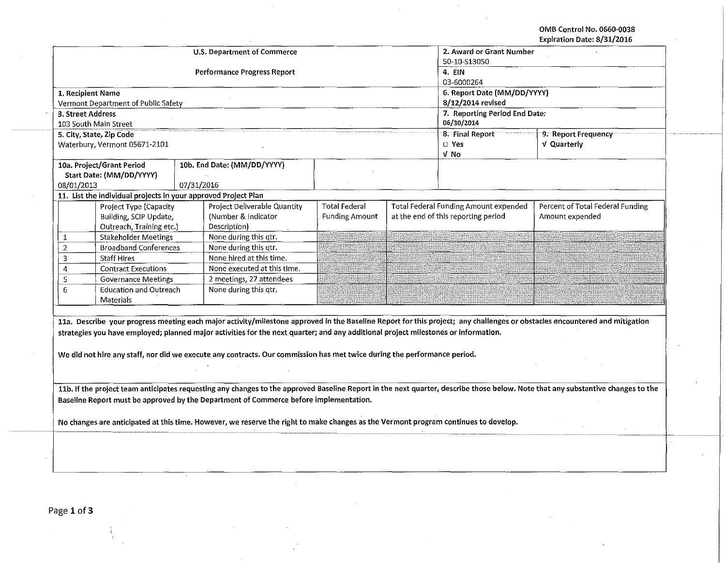OMB Control No. 0660-0038 Expiration Date: 8/31/2016

 $\cdot$ 

|                                                                                                                                     |                      |                                    |                       |  |                                           | Expiration Date: 6/51/2016                                                                                                                                                      |  |  |
|-------------------------------------------------------------------------------------------------------------------------------------|----------------------|------------------------------------|-----------------------|--|-------------------------------------------|---------------------------------------------------------------------------------------------------------------------------------------------------------------------------------|--|--|
|                                                                                                                                     |                      | <b>U.S. Department of Commerce</b> |                       |  | 2. Award or Grant Number                  |                                                                                                                                                                                 |  |  |
|                                                                                                                                     |                      |                                    |                       |  | 50-10-S13050                              |                                                                                                                                                                                 |  |  |
|                                                                                                                                     |                      | Performance Progress Report        |                       |  | 4. EIN                                    |                                                                                                                                                                                 |  |  |
|                                                                                                                                     |                      |                                    |                       |  | 03-6000264<br>6. Report Date (MM/DD/YYYY) |                                                                                                                                                                                 |  |  |
| 1. Recipient Name                                                                                                                   |                      |                                    |                       |  |                                           |                                                                                                                                                                                 |  |  |
| Vermont Department of Public Safety                                                                                                 |                      |                                    |                       |  | 8/12/2014 revised                         |                                                                                                                                                                                 |  |  |
| 3. Street Address                                                                                                                   |                      |                                    |                       |  | 7. Reporting Period End Date:             |                                                                                                                                                                                 |  |  |
| 103 South Main Street                                                                                                               |                      |                                    |                       |  | 06/30/2014                                |                                                                                                                                                                                 |  |  |
| 5. City, State, Zip Code                                                                                                            |                      |                                    |                       |  | 8. Final Report                           | 9. Report Frequency                                                                                                                                                             |  |  |
| Waterbury, Vermont 05671-2101                                                                                                       | D Yes<br>V Quarterly |                                    |                       |  |                                           |                                                                                                                                                                                 |  |  |
|                                                                                                                                     |                      |                                    |                       |  | V No                                      |                                                                                                                                                                                 |  |  |
| 10a. Project/Grant Period                                                                                                           |                      | 10b. End Date: (MM/DD/YYYY)        |                       |  |                                           |                                                                                                                                                                                 |  |  |
| Start Date: (MM/DD/YYYY)                                                                                                            |                      |                                    |                       |  |                                           |                                                                                                                                                                                 |  |  |
| 08/01/2013                                                                                                                          | 07/31/2016           |                                    |                       |  |                                           |                                                                                                                                                                                 |  |  |
| 11. List the individual projects in your approved Project Plan                                                                      |                      |                                    |                       |  |                                           |                                                                                                                                                                                 |  |  |
| Project Type (Capacity                                                                                                              |                      | Project Deliverable Quantity       | <b>Total Federal</b>  |  | Total Federal Funding Amount expended     | Percent of Total Federal Funding                                                                                                                                                |  |  |
| Building, SCIP Update,                                                                                                              |                      | (Number & Indicator                | <b>Funding Amount</b> |  | at the end of this reporting period       | Amount expended                                                                                                                                                                 |  |  |
| Outreach, Training etc.)                                                                                                            |                      | Description)                       |                       |  |                                           |                                                                                                                                                                                 |  |  |
| <b>Stakeholder Meetings</b><br>1                                                                                                    |                      | None during this qtr.              |                       |  |                                           |                                                                                                                                                                                 |  |  |
| <b>Broadband Conferences</b><br>2                                                                                                   |                      | None during this qtr.              |                       |  |                                           |                                                                                                                                                                                 |  |  |
| 3<br><b>Staff Hires</b>                                                                                                             |                      | None hired at this time.           |                       |  |                                           |                                                                                                                                                                                 |  |  |
| <b>Contract Executions</b><br>4                                                                                                     |                      | None executed at this time.        |                       |  |                                           |                                                                                                                                                                                 |  |  |
| 5<br><b>Governance Meetings</b>                                                                                                     |                      | 2 meetings, 27 attendees           |                       |  |                                           |                                                                                                                                                                                 |  |  |
| <b>Education and Outreach</b><br>6                                                                                                  |                      | None during this qtr,              |                       |  |                                           |                                                                                                                                                                                 |  |  |
| Materials                                                                                                                           |                      |                                    |                       |  |                                           |                                                                                                                                                                                 |  |  |
|                                                                                                                                     |                      |                                    |                       |  |                                           |                                                                                                                                                                                 |  |  |
|                                                                                                                                     |                      |                                    |                       |  |                                           | 11a. Describe your progress meeting each major activity/milestone approved in the Baseline Report for this project; any challenges or obstacles encountered and mitigation      |  |  |
| strategies you have employed; planned major activities for the next quarter; and any additional project milestones or information.  |                      |                                    |                       |  |                                           |                                                                                                                                                                                 |  |  |
|                                                                                                                                     |                      |                                    |                       |  |                                           |                                                                                                                                                                                 |  |  |
| We did not hire any staff, nor did we execute any contracts. Our commission has met twice during the performance period.            |                      |                                    |                       |  |                                           |                                                                                                                                                                                 |  |  |
|                                                                                                                                     |                      |                                    |                       |  |                                           |                                                                                                                                                                                 |  |  |
|                                                                                                                                     |                      |                                    |                       |  |                                           |                                                                                                                                                                                 |  |  |
|                                                                                                                                     |                      |                                    |                       |  |                                           | 11b. If the project team anticipates requesting any changes to the approved Baseline Report in the next quarter, describe those below. Note that any substantive changes to the |  |  |
| Baseline Report must be approved by the Department of Commerce before implementation.                                               |                      |                                    |                       |  |                                           |                                                                                                                                                                                 |  |  |
|                                                                                                                                     |                      |                                    |                       |  |                                           |                                                                                                                                                                                 |  |  |
| No changes are anticipated at this time. However, we reserve the right to make changes as the Vermont program continues to develop. |                      |                                    |                       |  |                                           |                                                                                                                                                                                 |  |  |
|                                                                                                                                     |                      |                                    |                       |  |                                           |                                                                                                                                                                                 |  |  |
|                                                                                                                                     |                      |                                    |                       |  |                                           |                                                                                                                                                                                 |  |  |
|                                                                                                                                     |                      |                                    |                       |  |                                           |                                                                                                                                                                                 |  |  |
|                                                                                                                                     |                      |                                    |                       |  |                                           |                                                                                                                                                                                 |  |  |
|                                                                                                                                     |                      |                                    |                       |  |                                           |                                                                                                                                                                                 |  |  |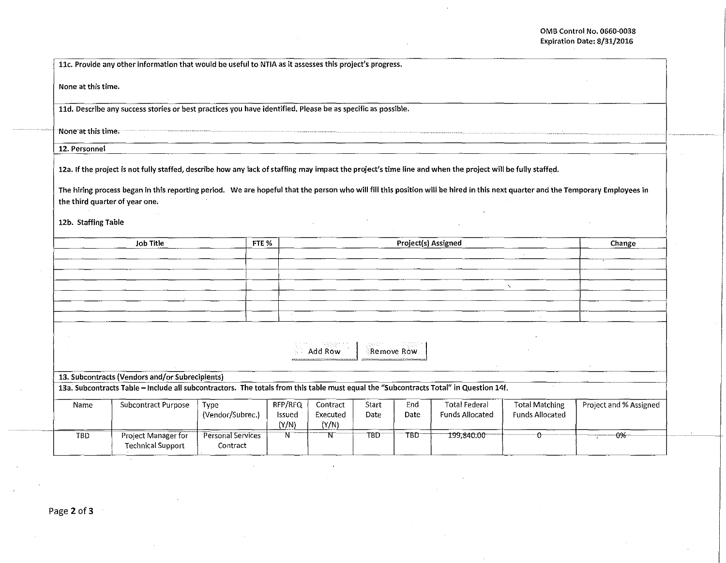|                                | 11c. Provide any other information that would be useful to NTIA as it assesses this project's progress.                                                                                                                                                                                                                                       |                               |                            |                               |                  |                     |                                                |                                                 |                        |
|--------------------------------|-----------------------------------------------------------------------------------------------------------------------------------------------------------------------------------------------------------------------------------------------------------------------------------------------------------------------------------------------|-------------------------------|----------------------------|-------------------------------|------------------|---------------------|------------------------------------------------|-------------------------------------------------|------------------------|
| None at this time.             |                                                                                                                                                                                                                                                                                                                                               |                               |                            |                               |                  |                     |                                                |                                                 |                        |
|                                | 11d. Describe any success stories or best practices you have identified. Please be as specific as possible.                                                                                                                                                                                                                                   |                               |                            |                               |                  |                     |                                                |                                                 |                        |
| None at this time.             |                                                                                                                                                                                                                                                                                                                                               |                               |                            |                               |                  |                     |                                                |                                                 |                        |
| 12. Personnel                  |                                                                                                                                                                                                                                                                                                                                               |                               |                            |                               |                  |                     |                                                |                                                 |                        |
| the third quarter of year one. | 12a. If the project is not fully staffed, describe how any lack of staffing may impact the project's time line and when the project will be fully staffed.<br>The hiring process began in this reporting period. We are hopeful that the person who will fill this position will be hired in this next quarter and the Temporary Employees in |                               |                            |                               |                  |                     |                                                |                                                 |                        |
| 12b. Staffing Table            |                                                                                                                                                                                                                                                                                                                                               |                               |                            |                               |                  |                     |                                                |                                                 |                        |
|                                | <b>Job Title</b>                                                                                                                                                                                                                                                                                                                              | FTE %                         |                            |                               |                  | Project(s) Assigned |                                                |                                                 | Change                 |
|                                |                                                                                                                                                                                                                                                                                                                                               |                               |                            |                               |                  |                     |                                                |                                                 |                        |
|                                |                                                                                                                                                                                                                                                                                                                                               |                               |                            |                               |                  |                     |                                                |                                                 |                        |
|                                |                                                                                                                                                                                                                                                                                                                                               |                               |                            |                               |                  |                     |                                                | $\overline{\phantom{0}}$                        |                        |
|                                |                                                                                                                                                                                                                                                                                                                                               |                               |                            |                               |                  |                     |                                                |                                                 |                        |
|                                |                                                                                                                                                                                                                                                                                                                                               |                               | $\sim$                     |                               |                  |                     |                                                |                                                 |                        |
|                                |                                                                                                                                                                                                                                                                                                                                               |                               |                            | Add Row                       |                  | Remove Row.         |                                                |                                                 |                        |
|                                | 13. Subcontracts (Vendors and/or Subrecipients)                                                                                                                                                                                                                                                                                               |                               |                            |                               |                  |                     |                                                |                                                 |                        |
|                                | 13a. Subcontracts Table - Include all subcontractors. The totals from this table must equal the "Subcontracts Total" in Question 14f.                                                                                                                                                                                                         |                               |                            |                               |                  |                     |                                                |                                                 |                        |
| Name                           | Subcontract Purpose                                                                                                                                                                                                                                                                                                                           | Type<br>(Vendor/Subrec.)      | RFP/RFQ<br>Issued<br>(Y/N) | Contract<br>Executed<br>(Y/N) | Start<br>Date    | End<br>Date         | <b>Total Federal</b><br><b>Funds Allocated</b> | <b>Total Matching</b><br><b>Funds Allocated</b> | Project and % Assigned |
| TBD                            | Project Manager for<br><b>Technical Support</b>                                                                                                                                                                                                                                                                                               | Personal Services<br>Contract | N                          | N                             | TBD <sup>-</sup> | TBD                 | 199,840.00                                     | ᠻ                                               | $-0%$                  |

 $\cdot$